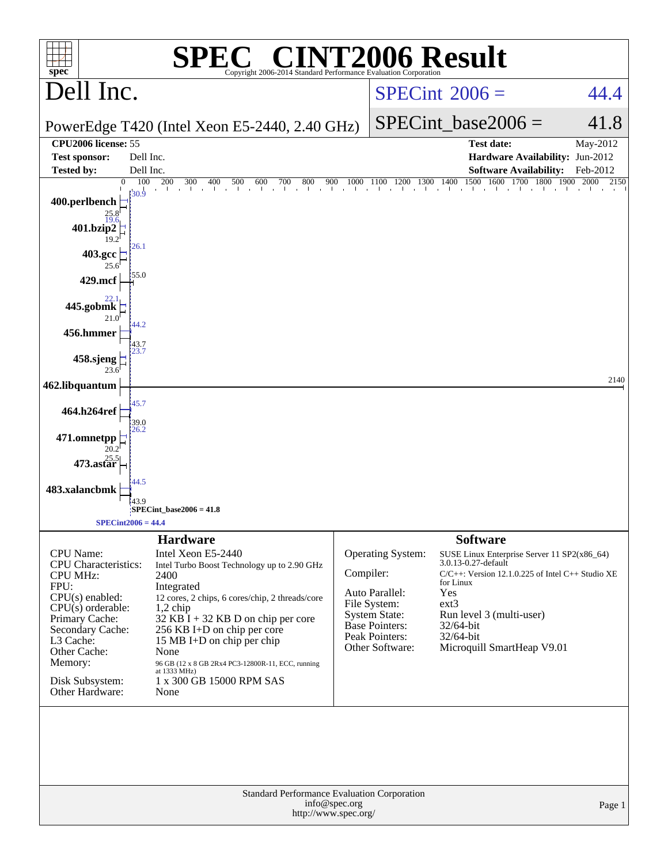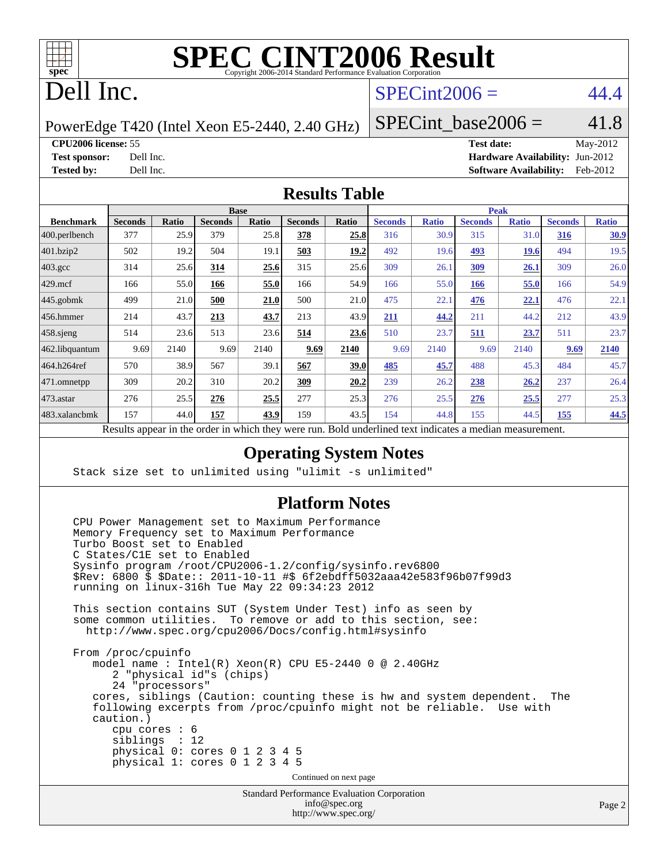

# **[SPEC CINT2006 Result](http://www.spec.org/auto/cpu2006/Docs/result-fields.html#SPECCINT2006Result)**

# Dell Inc.

## $SPECint2006 = 44.4$  $SPECint2006 = 44.4$

PowerEdge T420 (Intel Xeon E5-2440, 2.40 GHz)

SPECint base2006 =  $41.8$ 

**[CPU2006 license:](http://www.spec.org/auto/cpu2006/Docs/result-fields.html#CPU2006license)** 55 **[Test date:](http://www.spec.org/auto/cpu2006/Docs/result-fields.html#Testdate)** May-2012 **[Test sponsor:](http://www.spec.org/auto/cpu2006/Docs/result-fields.html#Testsponsor)** Dell Inc. **[Hardware Availability:](http://www.spec.org/auto/cpu2006/Docs/result-fields.html#HardwareAvailability)** Jun-2012 **[Tested by:](http://www.spec.org/auto/cpu2006/Docs/result-fields.html#Testedby)** Dell Inc. **[Software Availability:](http://www.spec.org/auto/cpu2006/Docs/result-fields.html#SoftwareAvailability)** Feb-2012

#### **[Results Table](http://www.spec.org/auto/cpu2006/Docs/result-fields.html#ResultsTable)**

|                                                                                                                 | <b>Base</b>    |              |                |       | <b>Peak</b>    |       |                |              |                |              |                |              |
|-----------------------------------------------------------------------------------------------------------------|----------------|--------------|----------------|-------|----------------|-------|----------------|--------------|----------------|--------------|----------------|--------------|
| <b>Benchmark</b>                                                                                                | <b>Seconds</b> | <b>Ratio</b> | <b>Seconds</b> | Ratio | <b>Seconds</b> | Ratio | <b>Seconds</b> | <b>Ratio</b> | <b>Seconds</b> | <b>Ratio</b> | <b>Seconds</b> | <b>Ratio</b> |
| $ 400$ .perlbench                                                                                               | 377            | 25.9         | 379            | 25.8  | 378            | 25.8  | 316            | 30.9         | 315            | 31.0         | 316            | 30.9         |
| 401.bzip2                                                                                                       | 502            | 19.2         | 504            | 19.1  | 503            | 19.2  | 492            | 19.6         | 493            | 19.6         | 494            | 19.5         |
| $403.\text{gcc}$                                                                                                | 314            | 25.6         | 314            | 25.6  | 315            | 25.6  | 309            | 26.1         | <u>309</u>     | <u>26.1</u>  | 309            | 26.0         |
| $429$ .mcf                                                                                                      | 166            | 55.0         | 166            | 55.0  | 166            | 54.9  | 166            | 55.0         | 166            | 55.0         | 166            | 54.9         |
| $445$ .gobmk                                                                                                    | 499            | 21.0         | 500            | 21.0  | 500            | 21.0  | 475            | 22.1         | 476            | 22.1         | 476            | 22.1         |
| 456.hmmer                                                                                                       | 214            | 43.7         | 213            | 43.7  | 213            | 43.9  | 211            | 44.2         | 211            | 44.2         | 212            | 43.9         |
| $458$ .sjeng                                                                                                    | 514            | 23.6         | 513            | 23.6  | 514            | 23.6  | 510            | 23.7         | 511            | 23.7         | 511            | 23.7         |
| 462.libquantum                                                                                                  | 9.69           | 2140         | 9.69           | 2140  | 9.69           | 2140  | 9.69           | 2140         | 9.69           | 2140         | 9.69           | 2140         |
| 464.h264ref                                                                                                     | 570            | 38.9         | 567            | 39.1  | 567            | 39.0  | 485            | 45.7         | 488            | 45.3         | 484            | 45.7         |
| 471.omnetpp                                                                                                     | 309            | 20.2         | 310            | 20.2  | 309            | 20.2  | 239            | 26.2         | 238            | 26.2         | 237            | 26.4         |
| $473$ . astar                                                                                                   | 276            | 25.5         | 276            | 25.5  | 277            | 25.3  | 276            | 25.5         | 276            | 25.5         | 277            | 25.3         |
| 483.xalancbmk                                                                                                   | 157            | 44.0         | 157            | 43.9  | 159            | 43.5  | 154            | 44.8         | 155            | 44.5         | 155            | 44.5         |
| <b>Dold</b> underlined text indicates a modian measurement<br>Decute ennear in the order in which thay were min |                |              |                |       |                |       |                |              |                |              |                |              |

Results appear in the [order in which they were run.](http://www.spec.org/auto/cpu2006/Docs/result-fields.html#RunOrder) Bold underlined text [indicates a median measurement.](http://www.spec.org/auto/cpu2006/Docs/result-fields.html#Median)

### **[Operating System Notes](http://www.spec.org/auto/cpu2006/Docs/result-fields.html#OperatingSystemNotes)**

Stack size set to unlimited using "ulimit -s unlimited"

#### **[Platform Notes](http://www.spec.org/auto/cpu2006/Docs/result-fields.html#PlatformNotes)**

 CPU Power Management set to Maximum Performance Memory Frequency set to Maximum Performance Turbo Boost set to Enabled C States/C1E set to Enabled Sysinfo program /root/CPU2006-1.2/config/sysinfo.rev6800 \$Rev: 6800 \$ \$Date:: 2011-10-11 #\$ 6f2ebdff5032aaa42e583f96b07f99d3 running on linux-316h Tue May 22 09:34:23 2012 This section contains SUT (System Under Test) info as seen by some common utilities. To remove or add to this section, see: <http://www.spec.org/cpu2006/Docs/config.html#sysinfo> From /proc/cpuinfo model name : Intel(R) Xeon(R) CPU E5-2440 0 @ 2.40GHz 2 "physical id"s (chips) 24 "processors" cores, siblings (Caution: counting these is hw and system dependent. The following excerpts from /proc/cpuinfo might not be reliable. Use with caution.) cpu cores : 6 siblings : 12 physical 0: cores 0 1 2 3 4 5 physical 1: cores 0 1 2 3 4 5 Continued on next page

Standard Performance Evaluation Corporation [info@spec.org](mailto:info@spec.org) <http://www.spec.org/>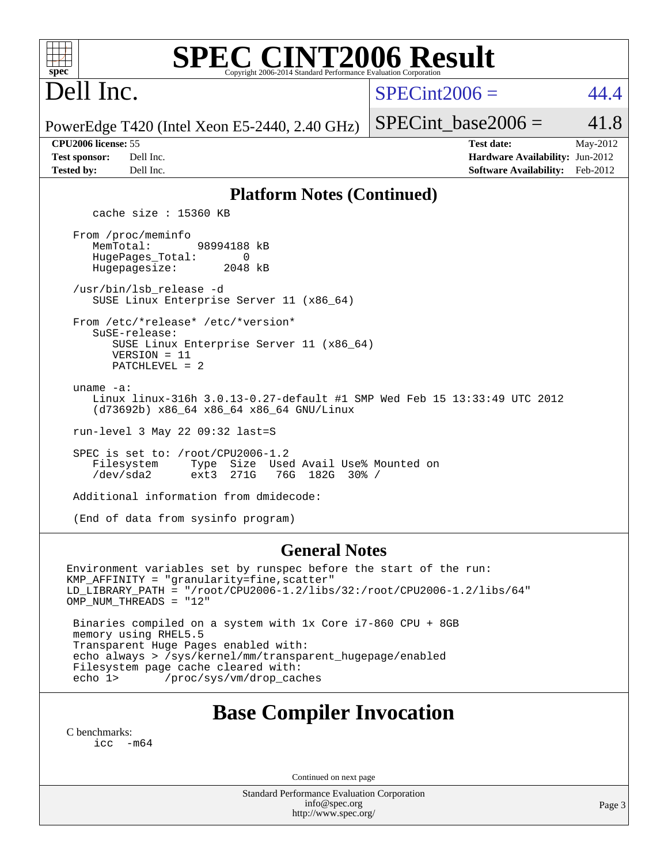# **[SPEC CINT2006 Result](http://www.spec.org/auto/cpu2006/Docs/result-fields.html#SPECCINT2006Result)**

# Dell Inc.

### $SPECint2006 = 44.4$  $SPECint2006 = 44.4$

SPECint base2006 =  $41.8$ 

PowerEdge T420 (Intel Xeon E5-2440, 2.40 GHz)

| <b>Test sponsor:</b> | Dell Inc. |
|----------------------|-----------|
| <b>Tested by:</b>    | Dell Inc. |

**[CPU2006 license:](http://www.spec.org/auto/cpu2006/Docs/result-fields.html#CPU2006license)** 55 **[Test date:](http://www.spec.org/auto/cpu2006/Docs/result-fields.html#Testdate)** May-2012 **[Hardware Availability:](http://www.spec.org/auto/cpu2006/Docs/result-fields.html#HardwareAvailability)** Jun-2012 **[Software Availability:](http://www.spec.org/auto/cpu2006/Docs/result-fields.html#SoftwareAvailability)** Feb-2012

### **[Platform Notes \(Continued\)](http://www.spec.org/auto/cpu2006/Docs/result-fields.html#PlatformNotes)**

cache size : 15360 KB

 From /proc/meminfo MemTotal: 98994188 kB HugePages\_Total: 0<br>Hugepagesize: 2048 kB Hugepagesize: /usr/bin/lsb\_release -d SUSE Linux Enterprise Server 11 (x86\_64) From /etc/\*release\* /etc/\*version\* SuSE-release: SUSE Linux Enterprise Server 11 (x86\_64) VERSION = 11 PATCHLEVEL = 2 uname -a: Linux linux-316h 3.0.13-0.27-default #1 SMP Wed Feb 15 13:33:49 UTC 2012 (d73692b) x86\_64 x86\_64 x86\_64 GNU/Linux run-level 3 May 22 09:32 last=S SPEC is set to: /root/CPU2006-1.2 Filesystem Type Size Used Avail Use% Mounted on /dev/sda2 ext3 271G 76G 182G 30% /

Additional information from dmidecode:

(End of data from sysinfo program)

#### **[General Notes](http://www.spec.org/auto/cpu2006/Docs/result-fields.html#GeneralNotes)**

Environment variables set by runspec before the start of the run: KMP\_AFFINITY = "granularity=fine,scatter" LD\_LIBRARY\_PATH = "/root/CPU2006-1.2/libs/32:/root/CPU2006-1.2/libs/64" OMP NUM THREADS = "12"

 Binaries compiled on a system with 1x Core i7-860 CPU + 8GB memory using RHEL5.5 Transparent Huge Pages enabled with: echo always > /sys/kernel/mm/transparent\_hugepage/enabled Filesystem page cache cleared with: echo 1> /proc/sys/vm/drop\_caches

# **[Base Compiler Invocation](http://www.spec.org/auto/cpu2006/Docs/result-fields.html#BaseCompilerInvocation)**

[C benchmarks](http://www.spec.org/auto/cpu2006/Docs/result-fields.html#Cbenchmarks): [icc -m64](http://www.spec.org/cpu2006/results/res2012q3/cpu2006-20120703-23490.flags.html#user_CCbase_intel_icc_64bit_f346026e86af2a669e726fe758c88044)

Continued on next page

Standard Performance Evaluation Corporation [info@spec.org](mailto:info@spec.org) <http://www.spec.org/>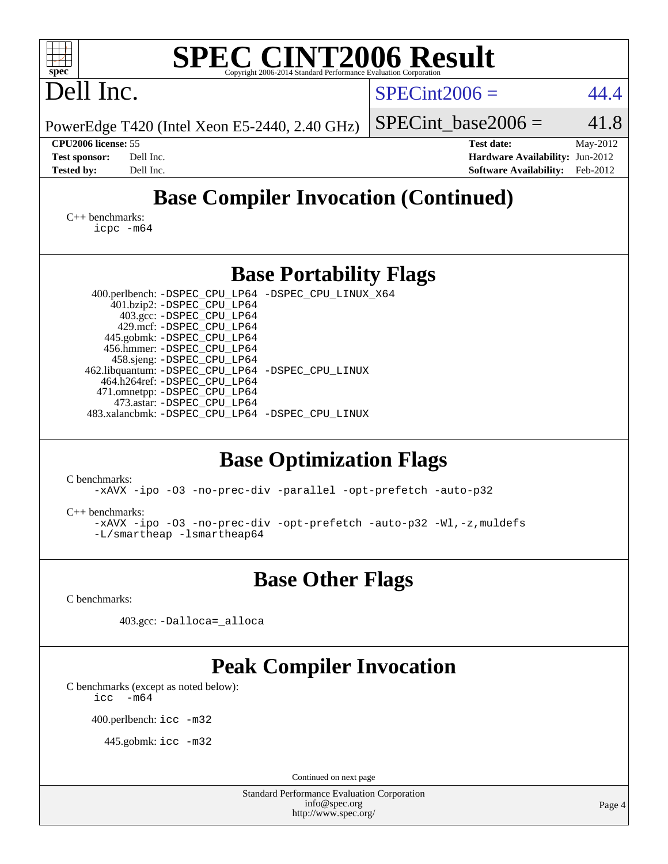| <b>SPEC CINT2006 Result</b><br>$spec^*$<br>Copyright 2006-2014 Standard Performance Evaluation Corporation |                                                                  |  |  |  |  |  |
|------------------------------------------------------------------------------------------------------------|------------------------------------------------------------------|--|--|--|--|--|
| Dell Inc.                                                                                                  | $SPECint2006 =$<br>44.4                                          |  |  |  |  |  |
| PowerEdge T420 (Intel Xeon E5-2440, 2.40 GHz)                                                              | 41.8<br>$SPECint base2006 =$                                     |  |  |  |  |  |
| CPU2006 license: 55<br><b>Test sponsor:</b><br>Dell Inc.                                                   | <b>Test date:</b><br>May-2012<br>Hardware Availability: Jun-2012 |  |  |  |  |  |
| <b>Tested by:</b><br>Dell Inc.                                                                             | <b>Software Availability:</b><br>Feb-2012                        |  |  |  |  |  |
| <b>Base Compiler Invocation (Continued)</b><br>$C_{++}$ benchmarks:                                        |                                                                  |  |  |  |  |  |
| $icpc$ $-m64$                                                                                              |                                                                  |  |  |  |  |  |
| <b>Base Portability Flags</b>                                                                              |                                                                  |  |  |  |  |  |
| 400.perlbench: -DSPEC_CPU_LP64 -DSPEC_CPU_LINUX_X64                                                        |                                                                  |  |  |  |  |  |
| 401.bzip2: -DSPEC_CPU_LP64<br>403.gcc: -DSPEC_CPU_LP64                                                     |                                                                  |  |  |  |  |  |
| 429.mcf: -DSPEC_CPU_LP64                                                                                   |                                                                  |  |  |  |  |  |
| 445.gobmk: -DSPEC_CPU_LP64<br>456.hmmer: -DSPEC_CPU_LP64                                                   |                                                                  |  |  |  |  |  |
| 458.sjeng: -DSPEC_CPU_LP64                                                                                 |                                                                  |  |  |  |  |  |
| 462.libquantum: - DSPEC_CPU_LP64 - DSPEC_CPU_LINUX<br>464.h264ref: -DSPEC_CPU_LP64                         |                                                                  |  |  |  |  |  |
| 471.omnetpp: -DSPEC_CPU_LP64<br>473.astar: -DSPEC_CPU_LP64                                                 |                                                                  |  |  |  |  |  |
| 483.xalancbmk: -DSPEC_CPU_LP64 -DSPEC_CPU_LINUX                                                            |                                                                  |  |  |  |  |  |
|                                                                                                            |                                                                  |  |  |  |  |  |
| <b>Base Optimization Flags</b>                                                                             |                                                                  |  |  |  |  |  |
| C benchmarks:<br>-xAVX -ipo -03 -no-prec-div -parallel -opt-prefetch -auto-p32                             |                                                                  |  |  |  |  |  |
| $C++$ benchmarks:                                                                                          |                                                                  |  |  |  |  |  |
| -xAVX -ipo -03 -no-prec-div -opt-prefetch -auto-p32 -Wl,-z, muldefs<br>$-L/s$ martheap -lsmartheap64       |                                                                  |  |  |  |  |  |
|                                                                                                            |                                                                  |  |  |  |  |  |
| <b>Base Other Flags</b><br>C benchmarks:                                                                   |                                                                  |  |  |  |  |  |
|                                                                                                            |                                                                  |  |  |  |  |  |
| 403.gcc: -Dalloca=_alloca                                                                                  |                                                                  |  |  |  |  |  |
| <b>Peak Compiler Invocation</b>                                                                            |                                                                  |  |  |  |  |  |
| C benchmarks (except as noted below):<br>$-m64$<br>icc                                                     |                                                                  |  |  |  |  |  |
| 400.perlbench: icc -m32                                                                                    |                                                                  |  |  |  |  |  |
| 445.gobmk: icc -m32                                                                                        |                                                                  |  |  |  |  |  |
| Continued on next page                                                                                     |                                                                  |  |  |  |  |  |
| Standard Performance Evaluation Corporation                                                                |                                                                  |  |  |  |  |  |
| info@spec.org<br>http://www.spec.org/                                                                      | Page 4                                                           |  |  |  |  |  |
|                                                                                                            |                                                                  |  |  |  |  |  |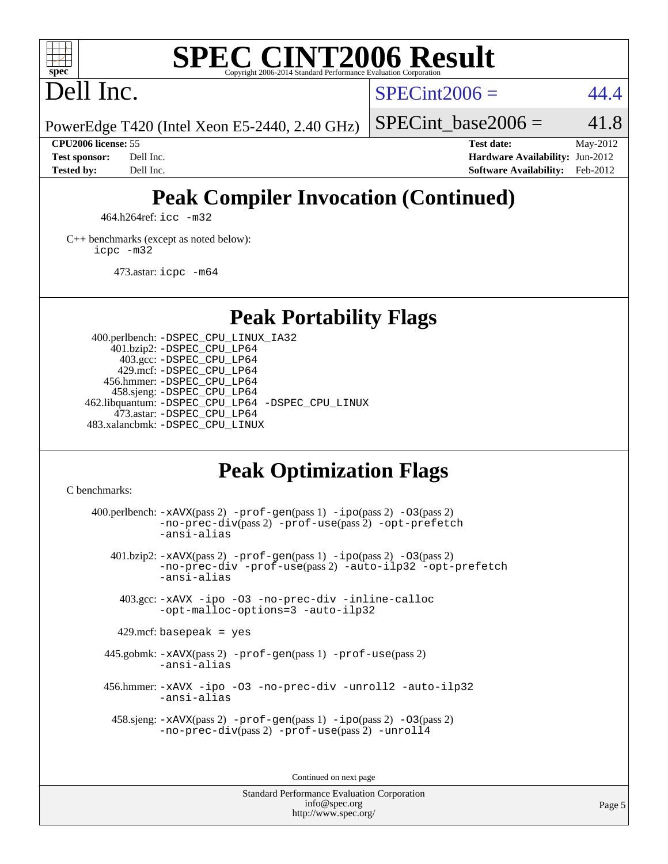

#### **[SPEC CINT2006 Result](http://www.spec.org/auto/cpu2006/Docs/result-fields.html#SPECCINT2006Result)** Copyright 2006-2014 Standard Performance Evaluation C

Dell Inc.

 $SPECint2006 = 44.4$  $SPECint2006 = 44.4$ 

SPECint base2006 =  $41.8$ 

PowerEdge T420 (Intel Xeon E5-2440, 2.40 GHz)

**[Tested by:](http://www.spec.org/auto/cpu2006/Docs/result-fields.html#Testedby)** Dell Inc. **[Software Availability:](http://www.spec.org/auto/cpu2006/Docs/result-fields.html#SoftwareAvailability)** Feb-2012

**[CPU2006 license:](http://www.spec.org/auto/cpu2006/Docs/result-fields.html#CPU2006license)** 55 **[Test date:](http://www.spec.org/auto/cpu2006/Docs/result-fields.html#Testdate)** May-2012 **[Test sponsor:](http://www.spec.org/auto/cpu2006/Docs/result-fields.html#Testsponsor)** Dell Inc. **[Hardware Availability:](http://www.spec.org/auto/cpu2006/Docs/result-fields.html#HardwareAvailability)** Jun-2012

# **[Peak Compiler Invocation \(Continued\)](http://www.spec.org/auto/cpu2006/Docs/result-fields.html#PeakCompilerInvocation)**

464.h264ref: [icc -m32](http://www.spec.org/cpu2006/results/res2012q3/cpu2006-20120703-23490.flags.html#user_peakCCLD464_h264ref_intel_icc_a6a621f8d50482236b970c6ac5f55f93)

[C++ benchmarks \(except as noted below\):](http://www.spec.org/auto/cpu2006/Docs/result-fields.html#CXXbenchmarksexceptasnotedbelow) [icpc -m32](http://www.spec.org/cpu2006/results/res2012q3/cpu2006-20120703-23490.flags.html#user_CXXpeak_intel_icpc_4e5a5ef1a53fd332b3c49e69c3330699)

473.astar: [icpc -m64](http://www.spec.org/cpu2006/results/res2012q3/cpu2006-20120703-23490.flags.html#user_peakCXXLD473_astar_intel_icpc_64bit_fc66a5337ce925472a5c54ad6a0de310)

**[Peak Portability Flags](http://www.spec.org/auto/cpu2006/Docs/result-fields.html#PeakPortabilityFlags)**

 400.perlbench: [-DSPEC\\_CPU\\_LINUX\\_IA32](http://www.spec.org/cpu2006/results/res2012q3/cpu2006-20120703-23490.flags.html#b400.perlbench_peakCPORTABILITY_DSPEC_CPU_LINUX_IA32) 401.bzip2: [-DSPEC\\_CPU\\_LP64](http://www.spec.org/cpu2006/results/res2012q3/cpu2006-20120703-23490.flags.html#suite_peakPORTABILITY401_bzip2_DSPEC_CPU_LP64) 403.gcc: [-DSPEC\\_CPU\\_LP64](http://www.spec.org/cpu2006/results/res2012q3/cpu2006-20120703-23490.flags.html#suite_peakPORTABILITY403_gcc_DSPEC_CPU_LP64) 429.mcf: [-DSPEC\\_CPU\\_LP64](http://www.spec.org/cpu2006/results/res2012q3/cpu2006-20120703-23490.flags.html#suite_peakPORTABILITY429_mcf_DSPEC_CPU_LP64) 456.hmmer: [-DSPEC\\_CPU\\_LP64](http://www.spec.org/cpu2006/results/res2012q3/cpu2006-20120703-23490.flags.html#suite_peakPORTABILITY456_hmmer_DSPEC_CPU_LP64) 458.sjeng: [-DSPEC\\_CPU\\_LP64](http://www.spec.org/cpu2006/results/res2012q3/cpu2006-20120703-23490.flags.html#suite_peakPORTABILITY458_sjeng_DSPEC_CPU_LP64) 462.libquantum: [-DSPEC\\_CPU\\_LP64](http://www.spec.org/cpu2006/results/res2012q3/cpu2006-20120703-23490.flags.html#suite_peakPORTABILITY462_libquantum_DSPEC_CPU_LP64) [-DSPEC\\_CPU\\_LINUX](http://www.spec.org/cpu2006/results/res2012q3/cpu2006-20120703-23490.flags.html#b462.libquantum_peakCPORTABILITY_DSPEC_CPU_LINUX) 473.astar: [-DSPEC\\_CPU\\_LP64](http://www.spec.org/cpu2006/results/res2012q3/cpu2006-20120703-23490.flags.html#suite_peakPORTABILITY473_astar_DSPEC_CPU_LP64) 483.xalancbmk: [-DSPEC\\_CPU\\_LINUX](http://www.spec.org/cpu2006/results/res2012q3/cpu2006-20120703-23490.flags.html#b483.xalancbmk_peakCXXPORTABILITY_DSPEC_CPU_LINUX)

# **[Peak Optimization Flags](http://www.spec.org/auto/cpu2006/Docs/result-fields.html#PeakOptimizationFlags)**

[C benchmarks](http://www.spec.org/auto/cpu2006/Docs/result-fields.html#Cbenchmarks):

400.perlbench:  $-xAUX(pass 2)$  -prof-qen(pass 1) [-ipo](http://www.spec.org/cpu2006/results/res2012q3/cpu2006-20120703-23490.flags.html#user_peakPASS2_CFLAGSPASS2_LDCFLAGS400_perlbench_f-ipo)(pass 2) -03(pass 2) [-no-prec-div](http://www.spec.org/cpu2006/results/res2012q3/cpu2006-20120703-23490.flags.html#user_peakPASS2_CFLAGSPASS2_LDCFLAGS400_perlbench_f-no-prec-div)(pass 2) [-prof-use](http://www.spec.org/cpu2006/results/res2012q3/cpu2006-20120703-23490.flags.html#user_peakPASS2_CFLAGSPASS2_LDCFLAGS400_perlbench_prof_use_bccf7792157ff70d64e32fe3e1250b55)(pass 2) [-opt-prefetch](http://www.spec.org/cpu2006/results/res2012q3/cpu2006-20120703-23490.flags.html#user_peakCOPTIMIZE400_perlbench_f-opt-prefetch) [-ansi-alias](http://www.spec.org/cpu2006/results/res2012q3/cpu2006-20120703-23490.flags.html#user_peakCOPTIMIZE400_perlbench_f-ansi-alias) 401.bzip2: [-xAVX](http://www.spec.org/cpu2006/results/res2012q3/cpu2006-20120703-23490.flags.html#user_peakPASS2_CFLAGSPASS2_LDCFLAGS401_bzip2_f-xAVX)(pass 2) [-prof-gen](http://www.spec.org/cpu2006/results/res2012q3/cpu2006-20120703-23490.flags.html#user_peakPASS1_CFLAGSPASS1_LDCFLAGS401_bzip2_prof_gen_e43856698f6ca7b7e442dfd80e94a8fc)(pass 1) [-ipo](http://www.spec.org/cpu2006/results/res2012q3/cpu2006-20120703-23490.flags.html#user_peakPASS2_CFLAGSPASS2_LDCFLAGS401_bzip2_f-ipo)(pass 2) [-O3](http://www.spec.org/cpu2006/results/res2012q3/cpu2006-20120703-23490.flags.html#user_peakPASS2_CFLAGSPASS2_LDCFLAGS401_bzip2_f-O3)(pass 2) [-no-prec-div](http://www.spec.org/cpu2006/results/res2012q3/cpu2006-20120703-23490.flags.html#user_peakCOPTIMIZEPASS2_CFLAGSPASS2_LDCFLAGS401_bzip2_f-no-prec-div) [-prof-use](http://www.spec.org/cpu2006/results/res2012q3/cpu2006-20120703-23490.flags.html#user_peakPASS2_CFLAGSPASS2_LDCFLAGS401_bzip2_prof_use_bccf7792157ff70d64e32fe3e1250b55)(pass 2) [-auto-ilp32](http://www.spec.org/cpu2006/results/res2012q3/cpu2006-20120703-23490.flags.html#user_peakCOPTIMIZE401_bzip2_f-auto-ilp32) [-opt-prefetch](http://www.spec.org/cpu2006/results/res2012q3/cpu2006-20120703-23490.flags.html#user_peakCOPTIMIZE401_bzip2_f-opt-prefetch) [-ansi-alias](http://www.spec.org/cpu2006/results/res2012q3/cpu2006-20120703-23490.flags.html#user_peakCOPTIMIZE401_bzip2_f-ansi-alias) 403.gcc: [-xAVX](http://www.spec.org/cpu2006/results/res2012q3/cpu2006-20120703-23490.flags.html#user_peakCOPTIMIZE403_gcc_f-xAVX) [-ipo](http://www.spec.org/cpu2006/results/res2012q3/cpu2006-20120703-23490.flags.html#user_peakCOPTIMIZE403_gcc_f-ipo) [-O3](http://www.spec.org/cpu2006/results/res2012q3/cpu2006-20120703-23490.flags.html#user_peakCOPTIMIZE403_gcc_f-O3) [-no-prec-div](http://www.spec.org/cpu2006/results/res2012q3/cpu2006-20120703-23490.flags.html#user_peakCOPTIMIZE403_gcc_f-no-prec-div) [-inline-calloc](http://www.spec.org/cpu2006/results/res2012q3/cpu2006-20120703-23490.flags.html#user_peakCOPTIMIZE403_gcc_f-inline-calloc) [-opt-malloc-options=3](http://www.spec.org/cpu2006/results/res2012q3/cpu2006-20120703-23490.flags.html#user_peakCOPTIMIZE403_gcc_f-opt-malloc-options_13ab9b803cf986b4ee62f0a5998c2238) [-auto-ilp32](http://www.spec.org/cpu2006/results/res2012q3/cpu2006-20120703-23490.flags.html#user_peakCOPTIMIZE403_gcc_f-auto-ilp32)  $429$ .mcf: basepeak = yes 445.gobmk: [-xAVX](http://www.spec.org/cpu2006/results/res2012q3/cpu2006-20120703-23490.flags.html#user_peakPASS2_CFLAGSPASS2_LDCFLAGS445_gobmk_f-xAVX)(pass 2) [-prof-gen](http://www.spec.org/cpu2006/results/res2012q3/cpu2006-20120703-23490.flags.html#user_peakPASS1_CFLAGSPASS1_LDCFLAGS445_gobmk_prof_gen_e43856698f6ca7b7e442dfd80e94a8fc)(pass 1) [-prof-use](http://www.spec.org/cpu2006/results/res2012q3/cpu2006-20120703-23490.flags.html#user_peakPASS2_CFLAGSPASS2_LDCFLAGS445_gobmk_prof_use_bccf7792157ff70d64e32fe3e1250b55)(pass 2) [-ansi-alias](http://www.spec.org/cpu2006/results/res2012q3/cpu2006-20120703-23490.flags.html#user_peakCOPTIMIZE445_gobmk_f-ansi-alias) 456.hmmer: [-xAVX](http://www.spec.org/cpu2006/results/res2012q3/cpu2006-20120703-23490.flags.html#user_peakCOPTIMIZE456_hmmer_f-xAVX) [-ipo](http://www.spec.org/cpu2006/results/res2012q3/cpu2006-20120703-23490.flags.html#user_peakCOPTIMIZE456_hmmer_f-ipo) [-O3](http://www.spec.org/cpu2006/results/res2012q3/cpu2006-20120703-23490.flags.html#user_peakCOPTIMIZE456_hmmer_f-O3) [-no-prec-div](http://www.spec.org/cpu2006/results/res2012q3/cpu2006-20120703-23490.flags.html#user_peakCOPTIMIZE456_hmmer_f-no-prec-div) [-unroll2](http://www.spec.org/cpu2006/results/res2012q3/cpu2006-20120703-23490.flags.html#user_peakCOPTIMIZE456_hmmer_f-unroll_784dae83bebfb236979b41d2422d7ec2) [-auto-ilp32](http://www.spec.org/cpu2006/results/res2012q3/cpu2006-20120703-23490.flags.html#user_peakCOPTIMIZE456_hmmer_f-auto-ilp32) [-ansi-alias](http://www.spec.org/cpu2006/results/res2012q3/cpu2006-20120703-23490.flags.html#user_peakCOPTIMIZE456_hmmer_f-ansi-alias) 458.sjeng: [-xAVX](http://www.spec.org/cpu2006/results/res2012q3/cpu2006-20120703-23490.flags.html#user_peakPASS2_CFLAGSPASS2_LDCFLAGS458_sjeng_f-xAVX)(pass 2) [-prof-gen](http://www.spec.org/cpu2006/results/res2012q3/cpu2006-20120703-23490.flags.html#user_peakPASS1_CFLAGSPASS1_LDCFLAGS458_sjeng_prof_gen_e43856698f6ca7b7e442dfd80e94a8fc)(pass 1) [-ipo](http://www.spec.org/cpu2006/results/res2012q3/cpu2006-20120703-23490.flags.html#user_peakPASS2_CFLAGSPASS2_LDCFLAGS458_sjeng_f-ipo)(pass 2) [-O3](http://www.spec.org/cpu2006/results/res2012q3/cpu2006-20120703-23490.flags.html#user_peakPASS2_CFLAGSPASS2_LDCFLAGS458_sjeng_f-O3)(pass 2) [-no-prec-div](http://www.spec.org/cpu2006/results/res2012q3/cpu2006-20120703-23490.flags.html#user_peakPASS2_CFLAGSPASS2_LDCFLAGS458_sjeng_f-no-prec-div)(pass 2) [-prof-use](http://www.spec.org/cpu2006/results/res2012q3/cpu2006-20120703-23490.flags.html#user_peakPASS2_CFLAGSPASS2_LDCFLAGS458_sjeng_prof_use_bccf7792157ff70d64e32fe3e1250b55)(pass 2) [-unroll4](http://www.spec.org/cpu2006/results/res2012q3/cpu2006-20120703-23490.flags.html#user_peakCOPTIMIZE458_sjeng_f-unroll_4e5e4ed65b7fd20bdcd365bec371b81f)

Continued on next page

Standard Performance Evaluation Corporation [info@spec.org](mailto:info@spec.org) <http://www.spec.org/>